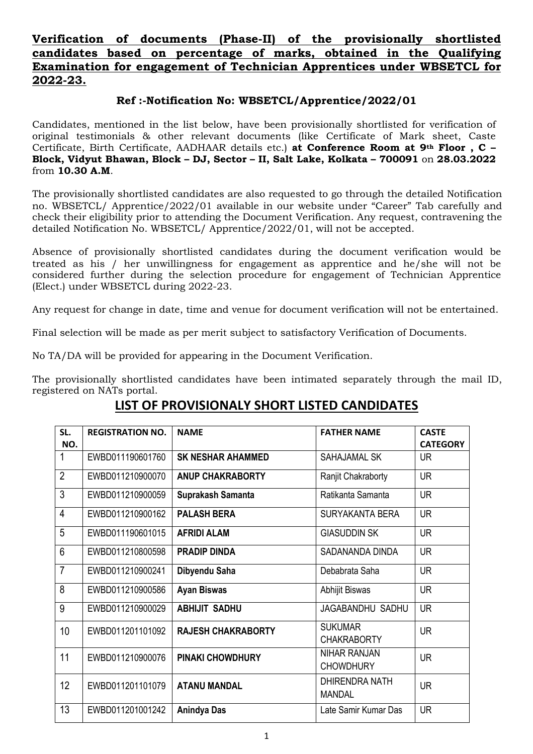## **Verification of documents (Phase-II) of the provisionally shortlisted candidates based on percentage of marks, obtained in the Qualifying Examination for engagement of Technician Apprentices under WBSETCL for 2022-23.**

## **Ref :-Notification No: WBSETCL/Apprentice/2022/01**

Candidates, mentioned in the list below, have been provisionally shortlisted for verification of original testimonials & other relevant documents (like Certificate of Mark sheet, Caste Certificate, Birth Certificate, AADHAAR details etc.) **at Conference Room at 9th Floor , C – Block, Vidyut Bhawan, Block – DJ, Sector – II, Salt Lake, Kolkata – 700091** on **28.03.2022** from **10.30 A.M**.

The provisionally shortlisted candidates are also requested to go through the detailed Notification no. WBSETCL/ Apprentice/2022/01 available in our website under "Career" Tab carefully and check their eligibility prior to attending the Document Verification. Any request, contravening the detailed Notification No. WBSETCL/ Apprentice/2022/01, will not be accepted.

Absence of provisionally shortlisted candidates during the document verification would be treated as his / her unwillingness for engagement as apprentice and he/she will not be considered further during the selection procedure for engagement of Technician Apprentice (Elect.) under WBSETCL during 2022-23.

Any request for change in date, time and venue for document verification will not be entertained.

Final selection will be made as per merit subject to satisfactory Verification of Documents.

No TA/DA will be provided for appearing in the Document Verification.

The provisionally shortlisted candidates have been intimated separately through the mail ID, registered on NATs portal.

## **LIST OF PROVISIONALY SHORT LISTED CANDIDATES**

| SL.            | <b>REGISTRATION NO.</b> | <b>NAME</b>               | <b>FATHER NAME</b>                      | <b>CASTE</b>    |
|----------------|-------------------------|---------------------------|-----------------------------------------|-----------------|
| NO.            |                         |                           |                                         | <b>CATEGORY</b> |
| 1              | EWBD011190601760        | <b>SK NESHAR AHAMMED</b>  | SAHAJAMAL SK                            | <b>UR</b>       |
| $\overline{2}$ | EWBD011210900070        | <b>ANUP CHAKRABORTY</b>   | Ranjit Chakraborty                      | <b>UR</b>       |
| 3              | EWBD011210900059        | Suprakash Samanta         | Ratikanta Samanta                       | <b>UR</b>       |
| 4              | EWBD011210900162        | <b>PALASH BERA</b>        | SURYAKANTA BERA                         | <b>UR</b>       |
| 5              | EWBD011190601015        | <b>AFRIDI ALAM</b>        | <b>GIASUDDIN SK</b>                     | <b>UR</b>       |
| $6\phantom{1}$ | EWBD011210800598        | <b>PRADIP DINDA</b>       | SADANANDA DINDA                         | <b>UR</b>       |
| $\overline{7}$ | EWBD011210900241        | Dibyendu Saha             | Debabrata Saha                          | <b>UR</b>       |
| 8              | EWBD011210900586        | <b>Ayan Biswas</b>        | Abhijit Biswas                          | <b>UR</b>       |
| 9              | EWBD011210900029        | <b>ABHIJIT SADHU</b>      | JAGABANDHU SADHU                        | <b>UR</b>       |
| 10             | EWBD011201101092        | <b>RAJESH CHAKRABORTY</b> | <b>SUKUMAR</b><br><b>CHAKRABORTY</b>    | <b>UR</b>       |
| 11             | EWBD011210900076        | <b>PINAKI CHOWDHURY</b>   | <b>NIHAR RANJAN</b><br><b>CHOWDHURY</b> | <b>UR</b>       |
| 12             | EWBD011201101079        | <b>ATANU MANDAL</b>       | <b>DHIRENDRA NATH</b><br>MANDAL         | <b>UR</b>       |
| 13             | EWBD011201001242        | <b>Anindya Das</b>        | Late Samir Kumar Das                    | <b>UR</b>       |